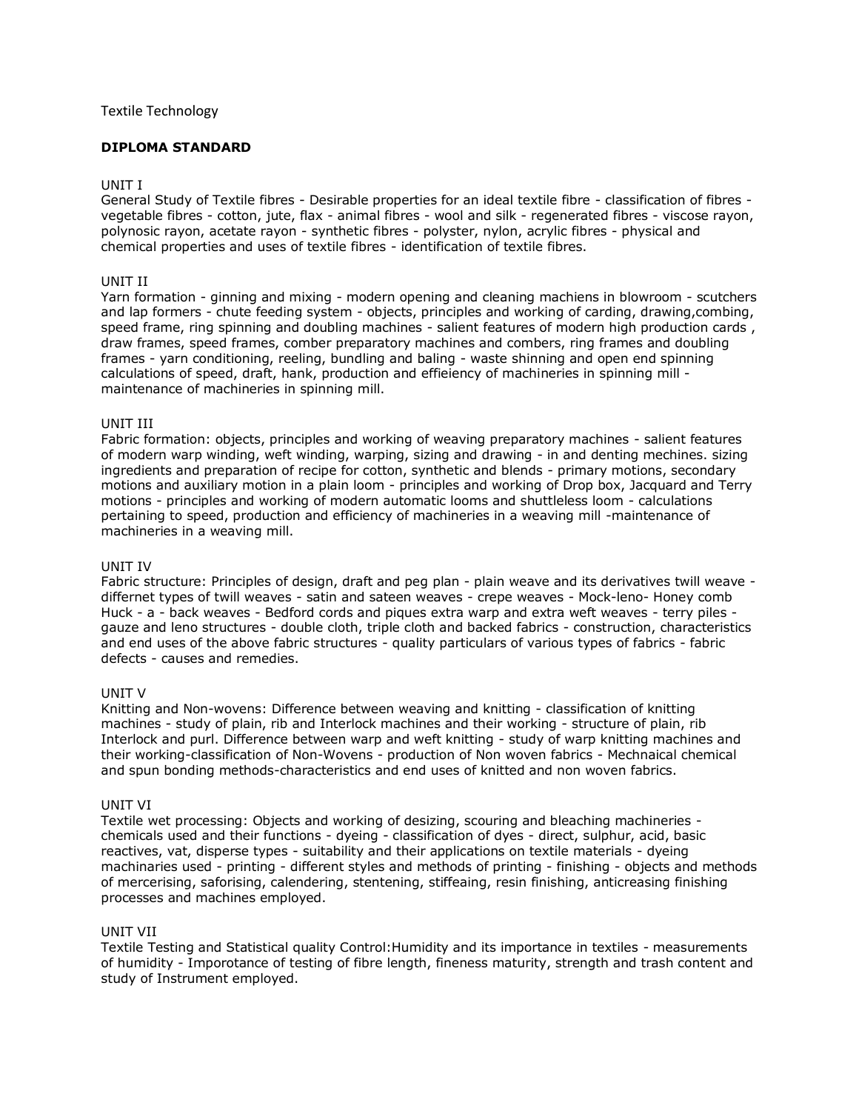# Textile Technology

# **DIPLOMA STANDARD**

### UNIT I

General Study of Textile fibres - Desirable properties for an ideal textile fibre - classification of fibres vegetable fibres - cotton, jute, flax - animal fibres - wool and silk - regenerated fibres - viscose rayon, polynosic rayon, acetate rayon - synthetic fibres - polyster, nylon, acrylic fibres - physical and chemical properties and uses of textile fibres - identification of textile fibres.

# UNIT II

Yarn formation - ginning and mixing - modern opening and cleaning machiens in blowroom - scutchers and lap formers - chute feeding system - objects, principles and working of carding, drawing,combing, speed frame, ring spinning and doubling machines - salient features of modern high production cards , draw frames, speed frames, comber preparatory machines and combers, ring frames and doubling frames - yarn conditioning, reeling, bundling and baling - waste shinning and open end spinning calculations of speed, draft, hank, production and effieiency of machineries in spinning mill maintenance of machineries in spinning mill.

### UNIT III

Fabric formation: objects, principles and working of weaving preparatory machines - salient features of modern warp winding, weft winding, warping, sizing and drawing - in and denting mechines. sizing ingredients and preparation of recipe for cotton, synthetic and blends - primary motions, secondary motions and auxiliary motion in a plain loom - principles and working of Drop box, Jacquard and Terry motions - principles and working of modern automatic looms and shuttleless loom - calculations pertaining to speed, production and efficiency of machineries in a weaving mill -maintenance of machineries in a weaving mill.

#### UNIT IV

Fabric structure: Principles of design, draft and peg plan - plain weave and its derivatives twill weave differnet types of twill weaves - satin and sateen weaves - crepe weaves - Mock-leno- Honey comb Huck - a - back weaves - Bedford cords and piques extra warp and extra weft weaves - terry piles gauze and leno structures - double cloth, triple cloth and backed fabrics - construction, characteristics and end uses of the above fabric structures - quality particulars of various types of fabrics - fabric defects - causes and remedies.

# UNIT V

Knitting and Non-wovens: Difference between weaving and knitting - classification of knitting machines - study of plain, rib and Interlock machines and their working - structure of plain, rib Interlock and purl. Difference between warp and weft knitting - study of warp knitting machines and their working-classification of Non-Wovens - production of Non woven fabrics - Mechnaical chemical and spun bonding methods-characteristics and end uses of knitted and non woven fabrics.

#### UNIT VI

Textile wet processing: Objects and working of desizing, scouring and bleaching machineries chemicals used and their functions - dyeing - classification of dyes - direct, sulphur, acid, basic reactives, vat, disperse types - suitability and their applications on textile materials - dyeing machinaries used - printing - different styles and methods of printing - finishing - objects and methods of mercerising, saforising, calendering, stentening, stiffeaing, resin finishing, anticreasing finishing processes and machines employed.

# UNIT VII

Textile Testing and Statistical quality Control:Humidity and its importance in textiles - measurements of humidity - Imporotance of testing of fibre length, fineness maturity, strength and trash content and study of Instrument employed.